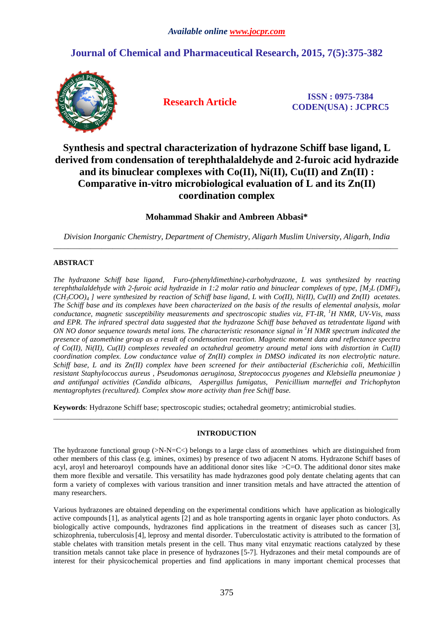# **Journal of Chemical and Pharmaceutical Research, 2015, 7(5):375-382**



**Research Article ISSN : 0975-7384 CODEN(USA) : JCPRC5**

# **Synthesis and spectral characterization of hydrazone Schiff base ligand, L derived from condensation of terephthalaldehyde and 2-furoic acid hydrazide and its binuclear complexes with Co(II), Ni(II), Cu(II) and Zn(II) : Comparative in-vitro microbiological evaluation of L and its Zn(II) coordination complex**

# **Mohammad Shakir and Ambreen Abbasi\***

*Division Inorganic Chemistry, Department of Chemistry, Aligarh Muslim University, Aligarh, India*  \_\_\_\_\_\_\_\_\_\_\_\_\_\_\_\_\_\_\_\_\_\_\_\_\_\_\_\_\_\_\_\_\_\_\_\_\_\_\_\_\_\_\_\_\_\_\_\_\_\_\_\_\_\_\_\_\_\_\_\_\_\_\_\_\_\_\_\_\_\_\_\_\_\_\_\_\_\_\_\_\_\_\_\_\_\_\_\_\_\_\_\_\_

# **ABSTRACT**

*The hydrazone Schiff base ligand, Furo-(phenyldimethine)-carbohydrazone, L was synthesized by reacting terephthalaldehyde with 2-furoic acid hydrazide in 1:2 molar ratio and binuclear complexes of type,*  $[M<sub>2</sub>L$  $(DMF)<sub>4</sub>$ *(CH3COO)4 ] were synthesized by reaction of Schiff base ligand, L with Co(II), Ni(II), Cu(II) and Zn(II) acetates. The Schiff base and its complexes have been characterized on the basis of the results of elemental analysis, molar conductance, magnetic susceptibility measurements and spectroscopic studies viz, FT-IR, <sup>1</sup>H NMR, UV-Vis, mass and EPR. The infrared spectral data suggested that the hydrazone Schiff base behaved as tetradentate ligand with ON NO donor sequence towards metal ions. The characteristic resonance signal in <sup>1</sup>H NMR spectrum indicated the presence of azomethine group as a result of condensation reaction. Magnetic moment data and reflectance spectra of Co(II), Ni(II), Cu(II) complexes revealed an octahedral geometry around metal ions with distortion in Cu(II) coordination complex. Low conductance value of Zn(II) complex in DMSO indicated its non electrolytic nature. Schiff base, L and its Zn(II) complex have been screened for their antibacterial (Escherichia coli, Methicillin resistant Staphylococcus aureus , Pseudomonas aeruginosa, Streptococcus pyogenes and Klebsiella pneumoniae ) and antifungal activities (Candida albicans, Aspergillus fumigatus, Penicillium marneffei and Trichophyton mentagrophytes (recultured). Complex show more activity than free Schiff base.* 

**Keywords**: Hydrazone Schiff base; spectroscopic studies; octahedral geometry; antimicrobial studies.

# **INTRODUCTION**

\_\_\_\_\_\_\_\_\_\_\_\_\_\_\_\_\_\_\_\_\_\_\_\_\_\_\_\_\_\_\_\_\_\_\_\_\_\_\_\_\_\_\_\_\_\_\_\_\_\_\_\_\_\_\_\_\_\_\_\_\_\_\_\_\_\_\_\_\_\_\_\_\_\_\_\_\_\_\_\_\_\_\_\_\_\_\_\_\_\_\_\_\_

The hydrazone functional group  $(\geq N-N=C\leq)$  belongs to a large class of azomethines which are distinguished from other members of this class (e.g. imines, oximes) by presence of two adjacent N atoms. Hydrazone Schiff bases of acyl, aroyl and heteroaroyl compounds have an additional donor sites like >C=O. The additional donor sites make them more flexible and versatile. This versatility has made hydrazones good poly dentate chelating agents that can form a variety of complexes with various transition and inner transition metals and have attracted the attention of many researchers.

Various hydrazones are obtained depending on the experimental conditions which have application as biologically active compounds [1], as analytical agents [2] and as hole transporting agents in organic layer photo conductors. As biologically active compounds, hydrazones find applications in the treatment of diseases such as cancer [3], schizophrenia, tuberculosis[4], leprosy and mental disorder. Tuberculostatic activity is attributed to the formation of stable chelates with transition metals present in the cell. Thus many vital enzymatic reactions catalyzed by these transition metals cannot take place in presence of hydrazones [5-7]. Hydrazones and their metal compounds are of interest for their physicochemical properties and find applications in many important chemical processes that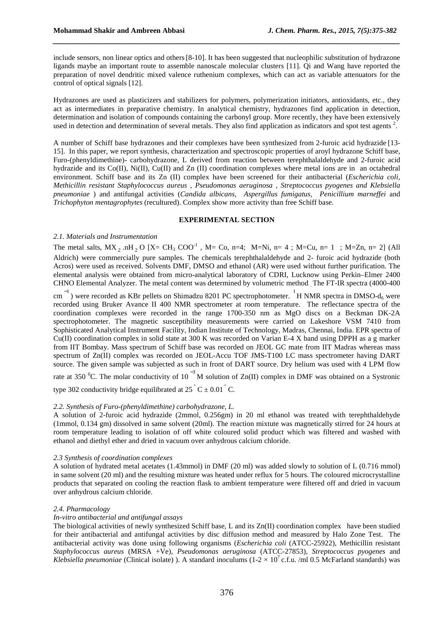include sensors, non linear optics and others[8-10]. It has been suggested that nucleophilic substitution of hydrazone ligands maybe an important route to assemble nanoscale molecular clusters [11]. Qi and Wang have reported the preparation of novel dendritic mixed valence ruthenium complexes, which can act as variable attenuators for the control of optical signals [12].

*\_\_\_\_\_\_\_\_\_\_\_\_\_\_\_\_\_\_\_\_\_\_\_\_\_\_\_\_\_\_\_\_\_\_\_\_\_\_\_\_\_\_\_\_\_\_\_\_\_\_\_\_\_\_\_\_\_\_\_\_\_\_\_\_\_\_\_\_\_\_\_\_\_\_\_\_\_\_*

Hydrazones are used as plasticizers and stabilizers for polymers, polymerization initiators, antioxidants, etc., they act as intermediates in preparative chemistry. In analytical chemistry, hydrazones find application in detection, determination and isolation of compounds containing the carbonyl group. More recently, they have been extensively used in detection and determination of several metals. They also find application as indicators and spot test agents<sup>2</sup>.

A number of Schiff base hydrazones and their complexes have been synthesized from 2-furoic acid hydrazide [13- 15]. In this paper, we report synthesis, characterization and spectroscopic properties of aroyl hydrazone Schiff base, Furo-(phenyldimethine)- carbohydrazone, L derived from reaction between terephthalaldehyde and 2-furoic acid hydrazide and its Co(II), Ni(II), Cu(II) and Zn (II) coordination complexes where metal ions are in an octahedral environment. Schiff base and its Zn (II) complex have been screened for their antibacterial (*Escherichia coli, Methicillin resistant Staphylococcus aureus , Pseudomonas aeruginosa , Streptococcus pyogenes and Klebsiella pneumoniae* ) and antifungal activities (*Candida albicans, Aspergillus fumigatus, Penicillium marneffei* and *Trichophyton mentagrophytes* (recultured). Complex show more activity than free Schiff base.

# **EXPERIMENTAL SECTION**

# *2.1. Materials and Instrumentation*

The metal salts,  $MX_2 nH_2 O [X=CH_3 COO^{-1}$ , M= Co, n=4; M=Ni, n= 4; M=Cu, n= 1; M=Zn, n= 2] (All Aldrich) were commercially pure samples. The chemicals terephthalaldehyde and 2- furoic acid hydrazide (both Acros) were used as received. Solvents DMF, DMSO and ethanol (AR) were used without further purification. The elemental analysis were obtained from micro-analytical laboratory of CDRI, Lucknow using Perkin–Elmer 2400 CHNO Elemental Analyzer. The metal content was determined by volumetric method . The FT-IR spectra (4000-400)

 $\text{cm}^{-1}$ ) were recorded as KBr pellets on Shimadzu 8201 PC spectrophotometer.  $^{1}$ H NMR spectra in DMSO-d<sub>6</sub> were recorded using Bruker Avance II 400 NMR spectrometer at room temperature. The reflectance spectra of the coordination complexes were recorded in the range 1700-350 nm as MgO discs on a Beckman DK-2A spectrophotometer. The magnetic susceptibility measurements were carried on Lakeshore VSM 7410 from Sophisticated Analytical Instrument Facility, Indian Institute of Technology, Madras, Chennai, India. EPR spectra of Cu(II) coordination complex in solid state at 300 K was recorded on Varian E-4 X band using DPPH as a g marker from IIT Bombay. Mass spectrum of Schiff base was recorded on JEOL GC mate from IIT Madras whereas mass spectrum of Zn(II) complex was recorded on JEOL-Accu TOF JMS-T100 LC mass spectrometer having DART source. The given sample was subjected as such in front of DART source. Dry helium was used with 4 LPM flow

rate at 350 <sup>0</sup>C. The molar conductivity of 10<sup>-3</sup> M solution of Zn(II) complex in DMF was obtained on a Systronic type 302 conductivity bridge equilibrated at 25  $\degree$  C  $\pm$  0.01  $\degree$  C.

# *2.2. Synthesis of Furo-(phenyldimethine) carbohydrazone, L.*

A solution of 2-furoic acid hydrazide (2mmol, 0.256gm) in 20 ml ethanol was treated with terephthaldehyde (1mmol, 0.134 gm) dissolved in same solvent (20ml). The reaction mixtute was magnetically stirred for 24 hours at room temperature leading to isolation of off white coloured solid product which was filtered and washed with ethanol and diethyl ether and dried in vacuum over anhydrous calcium chloride.

#### *2.3 Synthesis of coordination complexes*

A solution of hydrated metal acetates (1.43mmol) in DMF (20 ml) was added slowly to solution of L (0.716 mmol) in same solvent (20 ml) and the resulting mixture was heated under reflux for 5 hours. The coloured microcrystalline products that separated on cooling the reaction flask to ambient temperature were filtered off and dried in vacuum over anhydrous calcium chloride.

# *2.4. Pharmacology*

# *In-vitro antibacterial and antifungal assays*

The biological activities of newly synthesized Schiff base, L and its Zn(II) coordination complex have been studied for their antibacterial and antifungal activities by disc diffusion method and measured by Halo Zone Test. The antibacterial activity was done using following organisms (*Escherichia coli* (ATCC-25922), Methicillin resistant *Staphylococcus aureus* (MRSA +Ve), *Pseudomonas aeruginosa* (ATCC-27853), *Streptococcus pyogenes* and *Klebsiella pneumoniae* (Clinical isolate) ). A standard inoculums  $(1-2 \times 10^7 \text{ c.f.u. /ml } 0.5 \text{ McFarland standards})$  was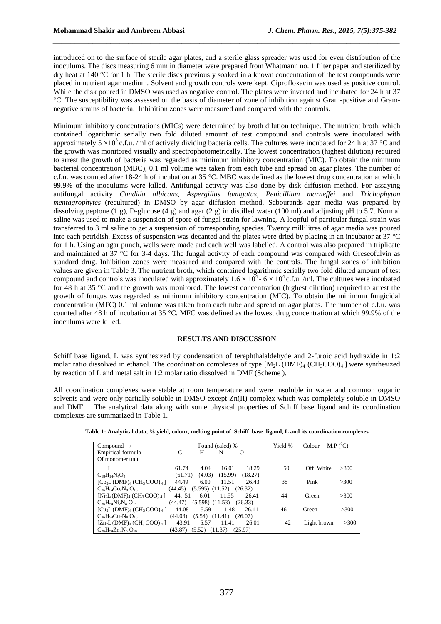introduced on to the surface of sterile agar plates, and a sterile glass spreader was used for even distribution of the inoculums. The discs measuring 6 mm in diameter were prepared from Whatmann no. 1 filter paper and sterilized by dry heat at 140 °C for 1 h. The sterile discs previously soaked in a known concentration of the test compounds were placed in nutrient agar medium. Solvent and growth controls were kept. Ciprofloxacin was used as positive control. While the disk poured in DMSO was used as negative control. The plates were inverted and incubated for 24 h at 37 °C. The susceptibility was assessed on the basis of diameter of zone of inhibition against Gram-positive and Gramnegative strains of bacteria. Inhibition zones were measured and compared with the controls.

*\_\_\_\_\_\_\_\_\_\_\_\_\_\_\_\_\_\_\_\_\_\_\_\_\_\_\_\_\_\_\_\_\_\_\_\_\_\_\_\_\_\_\_\_\_\_\_\_\_\_\_\_\_\_\_\_\_\_\_\_\_\_\_\_\_\_\_\_\_\_\_\_\_\_\_\_\_\_*

Minimum inhibitory concentrations (MICs) were determined by broth dilution technique. The nutrient broth, which contained logarithmic serially two fold diluted amount of test compound and controls were inoculated with approximately  $5 \times 10^5$  c.f.u. /ml of actively dividing bacteria cells. The cultures were incubated for 24 h at 37 °C and the growth was monitored visually and spectrophotometrically. The lowest concentration (highest dilution) required to arrest the growth of bacteria was regarded as minimum inhibitory concentration (MIC). To obtain the minimum bacterial concentration (MBC), 0.1 ml volume was taken from each tube and spread on agar plates. The number of c.f.u. was counted after 18-24 h of incubation at 35 °C. MBC was defined as the lowest drug concentration at which 99.9% of the inoculums were killed. Antifungal activity was also done by disk diffusion method. For assaying antifungal activity *Candida albicans*, *Aspergillus fumigatus*, *Penicillium marneffei* and *Trichophyton mentagrophytes* (recultured) in DMSO by agar diffusion method. Sabourands agar media was prepared by dissolving peptone (1 g), D-glucose (4 g) and agar (2 g) in distilled water (100 ml) and adjusting pH to 5.7. Normal saline was used to make a suspension of spore of fungal strain for lawning. A loopful of particular fungal strain was transferred to 3 ml saline to get a suspension of corresponding species. Twenty millilitres of agar media was poured into each petridish. Excess of suspension was decanted and the plates were dried by placing in an incubator at 37 °C for 1 h. Using an agar punch, wells were made and each well was labelled. A control was also prepared in triplicate and maintained at 37 °C for 3-4 days. The fungal activity of each compound was compared with Greseofulvin as standard drug. Inhibition zones were measured and compared with the controls. The fungal zones of inhibition values are given in Table 3. The nutrient broth, which contained logarithmic serially two fold diluted amount of test compound and controls was inoculated with approximately  $1.6 \times 10^4$  -  $6 \times 10^4$  c.f.u. /ml. The cultures were incubated for 48 h at 35 °C and the growth was monitored. The lowest concentration (highest dilution) required to arrest the growth of fungus was regarded as minimum inhibitory concentration (MIC). To obtain the minimum fungicidal concentration (MFC) 0.1 ml volume was taken from each tube and spread on agar plates. The number of c.f.u. was counted after 48 h of incubation at 35 °C. MFC was defined as the lowest drug concentration at which 99.9% of the inoculums were killed.

#### **RESULTS AND DISCUSSION**

Schiff base ligand, L was synthesized by condensation of terephthalaldehyde and 2-furoic acid hydrazide in 1:2 molar ratio dissolved in ethanol. The coordination complexes of type  $[M<sub>2</sub> L (DMF)<sub>4</sub> (CH<sub>3</sub>COO)<sub>4</sub>$  were synthesized by reaction of L and metal salt in 1:2 molar ratio dissolved in DMF (Scheme ).

All coordination complexes were stable at room temperature and were insoluble in water and common organic solvents and were only partially soluble in DMSO except Zn(II) complex which was completely soluble in DMSO and DMF. The analytical data along with some physical properties of Schiff base ligand and its coordination complexes are summarized in Table 1.

|  |  |  |  |  | Table 1: Analytical data, % yield, colour, melting point of Schiff base ligand, L and its coordination complexes |
|--|--|--|--|--|------------------------------------------------------------------------------------------------------------------|
|--|--|--|--|--|------------------------------------------------------------------------------------------------------------------|

| $Combound$ /                |                                         |        | Found (calcd) %               |         | Yield % | Colour      | $M.P (^0C)$ |
|-----------------------------|-----------------------------------------|--------|-------------------------------|---------|---------|-------------|-------------|
| Empirical formula           | C                                       | Н      | N                             | O       |         |             |             |
| Of monomer unit             |                                         |        |                               |         |         |             |             |
|                             | 61.74                                   | 4.04   | 16.01                         | 18.29   | 50      | Off White   | >300        |
| $C_{18}H_{14}N_4O_4$        | (61.71)                                 | (4.03) | (15.99)                       | (18.27) |         |             |             |
| $[Co2L(DMF)4 (CH3COO)4]$    | 44.49                                   | 6.00   | 11.51                         | 26.43   | 38      | Pink        | >300        |
| $C_{36}H_{54}Co_2N_8O_{16}$ | (44.45)                                 |        | $(5.595)$ $(11.52)$ $(26.32)$ |         |         |             |             |
| $[Ni_2L(DMF)_4(CH_3COO)_4]$ | 44.51                                   | 6.01   | 11.55                         | 26.41   | 44      | Green       | >300        |
| $C_{36}H_{54}Ni_2N_8O_{16}$ | $(44.47)$ $(5.598)$ $(11.53)$ $(26.33)$ |        |                               |         |         |             |             |
| $[Cu2L(DMF)4 (CH3COO)4]$    | 44.08                                   | 5.59   | 11.48                         | 26.11   | 46      | Green       | >300        |
| $C_{36}H_{54}Cu_2N_8O_{16}$ | (44.03)                                 |        | $(5.54)$ $(11.41)$ $(26.07)$  |         |         |             |             |
| $[Zn_2L(DMF)_4(CH_3COO)_4]$ | 43.91                                   | 5.57   | 11.41                         | 26.01   | 42      | Light brown | >300        |
| $C_{36}H_{54}Zn_2N_8O_{16}$ | $(43.87)$ $(5.52)$ $(11.37)$            |        |                               | (25.97) |         |             |             |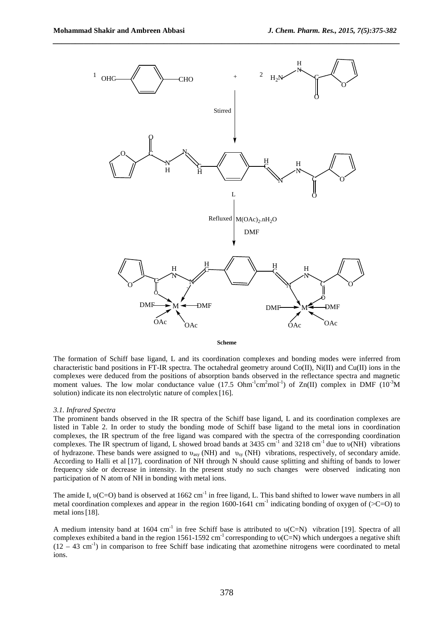

*\_\_\_\_\_\_\_\_\_\_\_\_\_\_\_\_\_\_\_\_\_\_\_\_\_\_\_\_\_\_\_\_\_\_\_\_\_\_\_\_\_\_\_\_\_\_\_\_\_\_\_\_\_\_\_\_\_\_\_\_\_\_\_\_\_\_\_\_\_\_\_\_\_\_\_\_\_\_*

**Scheme** 

The formation of Schiff base ligand, L and its coordination complexes and bonding modes were inferred from characteristic band positions in FT-IR spectra. The octahedral geometry around Co(II), Ni(II) and Cu(II) ions in the complexes were deduced from the positions of absorption bands observed in the reflectance spectra and magnetic moment values. The low molar conductance value (17.5 Ohm<sup>-1</sup>cm<sup>2</sup>mol<sup>-1</sup>) of Zn(II) complex in DMF (10<sup>-3</sup>M solution) indicate its non electrolytic nature of complex [16].

#### *3.1. Infrared Spectra*

The prominent bands observed in the IR spectra of the Schiff base ligand, L and its coordination complexes are listed in Table 2. In order to study the bonding mode of Schiff base ligand to the metal ions in coordination complexes, the IR spectrum of the free ligand was compared with the spectra of the corresponding coordination complexes. The IR spectrum of ligand, L showed broad bands at  $3435 \text{ cm}^{-1}$  and  $3218 \text{ cm}^{-1}$  due to  $\nu(\text{NH})$  vibrations of hydrazone. These bands were assigned to υ<sub>asy</sub> (NH) and υ<sub>sy</sub> (NH) vibrations, respectively, of secondary amide. According to Halli et al [17], coordination of NH through N should cause splitting and shifting of bands to lower frequency side or decrease in intensity. In the present study no such changes were observed indicating non participation of N atom of NH in bonding with metal ions.

The amide I,  $v(C=O)$  band is observed at 1662 cm<sup>-1</sup> in free ligand, L. This band shifted to lower wave numbers in all metal coordination complexes and appear in the region  $1600-1641$  cm<sup>-1</sup> indicating bonding of oxygen of ( $\geq$ C=O) to metal ions[18].

A medium intensity band at 1604 cm<sup>-1</sup> in free Schiff base is attributed to  $v(C=N)$  vibration [19]. Spectra of all complexes exhibited a band in the region 1561-1592 cm<sup>-1</sup> corresponding to  $v(C=N)$  which undergoes a negative shift  $(12 - 43 \text{ cm}^{-1})$  in comparison to free Schiff base indicating that azomethine nitrogens were coordinated to metal ions.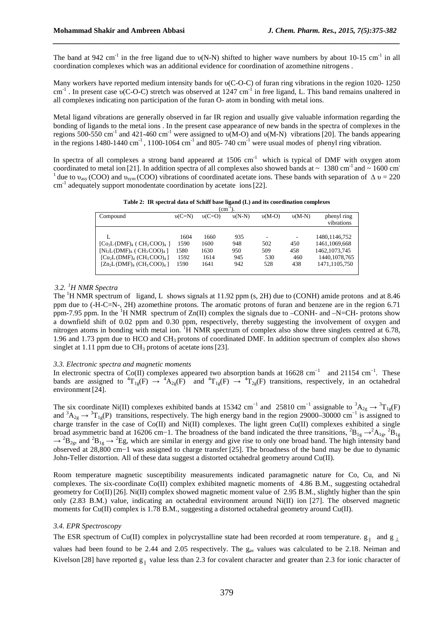The band at 942 cm<sup>-1</sup> in the free ligand due to  $v(N-N)$  shifted to higher wave numbers by about 10-15 cm<sup>-1</sup> in all coordination complexes which was an additional evidence for coordination of azomethine nitrogens .

*\_\_\_\_\_\_\_\_\_\_\_\_\_\_\_\_\_\_\_\_\_\_\_\_\_\_\_\_\_\_\_\_\_\_\_\_\_\_\_\_\_\_\_\_\_\_\_\_\_\_\_\_\_\_\_\_\_\_\_\_\_\_\_\_\_\_\_\_\_\_\_\_\_\_\_\_\_\_*

Many workers have reported medium intensity bands for υ(C-O-C) of furan ring vibrations in the region 1020- 1250 cm<sup>-1</sup>. In present case  $v(C-O-C)$  stretch was observed at 1247 cm<sup>-1</sup> in free ligand, L. This band remains unaltered in all complexes indicating non participation of the furan O- atom in bonding with metal ions.

Metal ligand vibrations are generally observed in far IR region and usually give valuable information regarding the bonding of ligands to the metal ions . In the present case appearance of new bands in the spectra of complexes in the regions 500-550 cm<sup>-1</sup> and 421-460 cm<sup>-1</sup> were assigned to  $v(M-O)$  and  $v(M-N)$  vibrations [20]. The bands appearing in the regions  $1480-1440 \text{ cm}^{-1}$ ,  $1100-1064 \text{ cm}^{-1}$  and  $805-740 \text{ cm}^{-1}$  were usual modes of phenyl ring vibration.

In spectra of all complexes a strong band appeared at  $1506 \text{ cm}^{-1}$  which is typical of DMF with oxygen atom coordinated to metal ion [21]. In addition spectra of all complexes also showed bands at  $\sim 1380 \text{ cm}^{-1}$  and  $\sim 1600 \text{ cm}^{-1}$ <sup>1</sup> due to  $v_{\text{asy}}$  (COO) and  $v_{\text{sym}}$  (COO) vibrations of coordinated acetate ions. These bands with separation of  $\Delta v = 220$ cm<sup>-1</sup> adequately support monodentate coordination by acetate ions [22].

**Table 2: IR spectral data of Schiff base ligand (L) and its coordination complexes** 

| $(cm^{-1})$                                                                 |          |          |          |          |          |                 |  |  |  |  |
|-----------------------------------------------------------------------------|----------|----------|----------|----------|----------|-----------------|--|--|--|--|
| Compound                                                                    | $v(C=N)$ | $v(C=O)$ | $v(N-N)$ | $v(M-O)$ | $v(M-N)$ | phenyl ring     |  |  |  |  |
|                                                                             |          |          |          |          |          | vibrations      |  |  |  |  |
|                                                                             | 1604     | 1660     | 935      | ۰        | ۰        | 1480, 1146, 752 |  |  |  |  |
| $[Co2L(DMF)4 (CH3COO)4]$                                                    | 1590     | 1600     | 948      | 502      | 450      | 1461, 1069, 668 |  |  |  |  |
| $[Ni_2L(DMF)_4 (CH_3COO)_4]$                                                | 1580     | 1630     | 950      | 509      | 458      | 1462, 1073, 745 |  |  |  |  |
| $\lceil \text{Cu}_2\text{L}(\text{DMF})_4 (\text{CH}_3\text{COO})_4 \rceil$ | 1592     | 1614     | 945      | 530      | 460      | 1440, 1078, 765 |  |  |  |  |
| $[Zn_2L(DMF)_4$ (CH <sub>3</sub> COO) <sub>4</sub> ]                        | 1590     | 1641     | 942      | 528      | 438      | 1471,1105,750   |  |  |  |  |
|                                                                             |          |          |          |          |          |                 |  |  |  |  |

### *3.2.<sup>1</sup>H NMR Spectra*

The <sup>1</sup>H NMR spectrum of ligand, L shows signals at 11.92 ppm (s, 2H) due to (CONH) amide protons and at 8.46 ppm due to (-H-C=N-, 2H) azomethine protons. The aromatic protons of furan and benzene are in the region 6.71 ppm-7.95 ppm. In the  ${}^{1}H$  NMR spectrum of Zn(II) complex the signals due to –CONH- and –N=CH- protons show a downfield shift of 0.02 ppm and 0.30 ppm, respectively, thereby suggesting the involvement of oxygen and nitrogen atoms in bonding with metal ion. <sup>1</sup>H NMR spectrum of complex also show three singlets centred at 6.78, 1.96 and 1.73 ppm due to HCO and CH3 protons of coordinated DMF. In addition spectrum of complex also shows singlet at 1.11 ppm due to  $CH_3$  protons of acetate ions [23].

#### *3.3. Electronic spectra and magnetic moments*

In electronic spectra of Co(II) complexes appeared two absorption bands at 16628 cm−1 and 21154 cm−1. These bands are assigned to  ${}^{4}T_{1g}(F) \rightarrow {}^{4}A_{2g}(F)$  and  ${}^{4}T_{1g}(F) \rightarrow {}^{4}T_{2g}(F)$  transitions, respectively, in an octahedral environment [24].

The six coordinate Ni(II) complexes exhibited bands at 15342 cm<sup>-1</sup> and 25810 cm<sup>-1</sup> assignable to <sup>3</sup>A<sub>2g</sub> → <sup>3</sup>T<sub>1g</sub>(F) and  ${}^{3}A_{2g} \rightarrow {}^{3}T_{1g}(P)$  transitions, respectively. The high energy band in the region 29000–30000 cm<sup>-1</sup> is assigned to charge transfer in the case of Co(II) and Ni(II) complexes. The light green Cu(II) complexes exhibited a single broad asymmetric band at 16206 cm−1. The broadness of the band indicated the three transitions,  ${}^2B_{1g}$  →  ${}^2A_{1g}$ ,  ${}^2B_{1g}$  $\rightarrow {}^2B_{2g}$ , and  ${}^2B_{1g} \rightarrow {}^2Eg$ , which are similar in energy and give rise to only one broad band. The high intensity band observed at 28,800 cm−1 was assigned to charge transfer [25]. The broadness of the band may be due to dynamic John-Teller distortion. All of these data suggest a distorted octahedral geometry around Cu(II).

Room temperature magnetic susceptibility measurements indicated paramagnetic nature for Co, Cu, and Ni complexes. The six-coordinate Co(II) complex exhibited magnetic moments of 4.86 B.M., suggesting octahedral geometry for Co(II) [26]. Ni(II) complex showed magnetic moment value of 2.95 B.M., slightly higher than the spin only (2.83 B.M.) value, indicating an octahedral environment around  $Ni(II)$  ion [27]. The observed magnetic moments for Cu(II) complex is 1.78 B.M., suggesting a distorted octahedral geometry around Cu(II).

#### *3.4. EPR Spectroscopy*

The ESR spectrum of Cu(II) complex in polycrystalline state had been recorded at room temperature.  $g_{\parallel}$  and  $g_{\perp}$ values had been found to be 2.44 and 2.05 respectively. The g<sub>av</sub> values was calculated to be 2.18. Neiman and Kivelson [28] have reported  $g_{\parallel}$  value less than 2.3 for covalent character and greater than 2.3 for ionic character of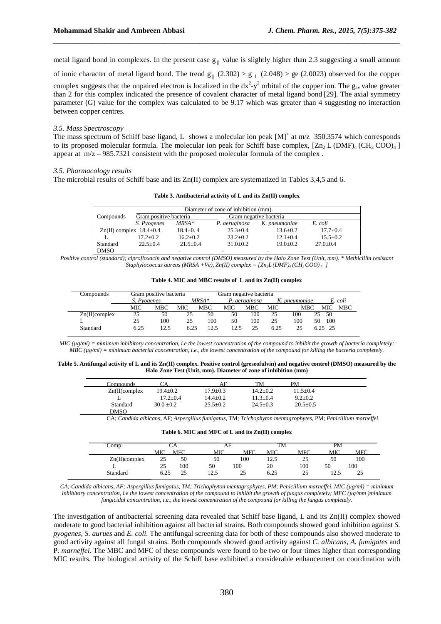metal ligand bond in complexes. In the present case  $g_{\parallel}$  value is slightly higher than 2.3 suggesting a small amount

*\_\_\_\_\_\_\_\_\_\_\_\_\_\_\_\_\_\_\_\_\_\_\_\_\_\_\_\_\_\_\_\_\_\_\_\_\_\_\_\_\_\_\_\_\_\_\_\_\_\_\_\_\_\_\_\_\_\_\_\_\_\_\_\_\_\_\_\_\_\_\_\_\_\_\_\_\_\_*

of ionic character of metal ligand bond. The trend  $g_{\parallel}$  (2.302) >  $g_{\perp}$  (2.048) > ge (2.0023) observed for the copper complex suggests that the unpaired electron is localized in the  $dx^2-y^2$  orbital of the copper ion. The  $g_{av}$  value greater than 2 for this complex indicated the presence of covalent character of metal ligand bond [29]. The axial symmetry parameter (G) value for the complex was calculated to be 9.17 which was greater than 4 suggesting no interaction between copper centres.

#### *3.5. Mass Spectroscopy*

The mass spectrum of Schiff base ligand, L shows a molecular ion peak  $[M]^+$  at m/z 350.3574 which corresponds to its proposed molecular formula. The molecular ion peak for Schiff base complex,  $[Zn_2 L (DMF)_4 (CH_3 COO)_4]$ appear at  $m/z - 985.7321$  consistent with the proposed molecular formula of the complex.

### *3.5. Pharmacology results*

The microbial results of Schiff base and its Zn(II) complex are systematized in Tables 3,4,5 and 6.

| Table 3. Antibacterial activity of L and its Zn(II) complex |  |  |  |  |
|-------------------------------------------------------------|--|--|--|--|
|-------------------------------------------------------------|--|--|--|--|

| Diameter of zone of inhibition (mm). |                                 |                |                |                        |                |  |  |  |  |
|--------------------------------------|---------------------------------|----------------|----------------|------------------------|----------------|--|--|--|--|
| Compounds                            | Gram positive bacteria          |                |                | Gram negative bacteria |                |  |  |  |  |
|                                      | S. Pyogenes                     | $MRSA*$        | P. aeruginosa  | K. pneumoniae          | E. coli        |  |  |  |  |
|                                      | $Zn(II)$ complex $18.4 \pm 0.4$ | $18.4 \pm 0.4$ | $25.3 \pm 0.4$ | $13.6 \pm 0.2$         | $17.7 + 0.4$   |  |  |  |  |
|                                      | $17.2 \pm 0.2$                  | $16.2 \pm 0.2$ | $23.2 \pm 0.2$ | $12.1 \pm 0.4$         | $15.5 \pm 0.2$ |  |  |  |  |
| Standard                             | $22.5+0.4$                      | $21.5 + 0.4$   | $31.0 + 0.2$   | $19.0 \pm 0.2$         | $27.0 + 0.4$   |  |  |  |  |
| <b>DMSO</b>                          |                                 |                |                |                        |                |  |  |  |  |

*Positive control (standard); ciprofloxacin and negative control (DMSO) measured by the Halo Zone Test (Unit, mm). \* Methicillin resistant Staphylococcus aureus (MRSA +Ve), Zn(II) complex =*  $(Zn)L(DMF)_{4}(CH_{3}COO)_{4}$  *]* 

| Table 4. MIC and MBC results of L and its Zn(II) complex |  |
|----------------------------------------------------------|--|
|----------------------------------------------------------|--|

| Compounds        | Gram positive bacteria |      |      |         | Gram negative bacteria |               |      |               |            |
|------------------|------------------------|------|------|---------|------------------------|---------------|------|---------------|------------|
|                  | S. Pyogenes            |      |      | $MRSA*$ |                        | P. aeruginosa |      | K. pneumoniae | E. coli    |
|                  | <b>MIC</b>             | MBC. | MIC- | MBC.    | MIC                    | MBC -         | MIC. | MBC           | MIC<br>MBC |
| $Zn(II)$ complex | 25                     | 50   | 25   | 50      | 50                     | 100           | 25   | 100           | 50<br>25.  |
| ∸                | 25                     | 100  | 25   | 100     | 50                     | 100           | 25   | 100           | 100<br>50  |
| Standard         | 6.25                   | 12.5 | 6.25 | 12.5    | 12.5                   | 25            | 6.25 | 25            | $6.25$ 25  |

*MIC (µg/ml) = minimum inhibitory concentration, i.e the lowest concentration of the compound to inhibit the growth of bacteria completely; MBC (µg/ml) = minimum bacterial concentration, i.e., the lowest concentration of the compound for killing the bacteria completely.* 

**Table 5. Antifungal activity of L and its Zn(II) complex. Positive control (greseofulvin) and negative control (DMSO) measured by the Halo Zone Test (Unit, mm). Diameter of zone of inhibition (mm)** 

| Compounds        |                |                | TM             | PM             |  |
|------------------|----------------|----------------|----------------|----------------|--|
| $Zn(II)$ complex | $19.4 \pm 0.2$ | $17.9 + 0.3$   | $14.2 \pm 0.2$ | $11.5 \pm 0.4$ |  |
|                  | $17.2 + 0.4$   | $14.4 + 0.2$   | $11.3 + 0.4$   | $9.2 \pm 0.2$  |  |
| Standard         | $30.0 + 0.2$   | $25.5 \pm 0.2$ | $24.5 + 0.3$   | $20.5 \pm 0.5$ |  |
| <b>DMSO</b>      | -              | -              | -              |                |  |

CA; *Candida albicans*, AF; *Aspergillus fumigatus*, TM; *Trichophyton mentagrophytes,* PM; *Penicillium marneffei.*

|  |  | Table 6. MIC and MFC of L and its Zn(II) complex |
|--|--|--------------------------------------------------|
|--|--|--------------------------------------------------|

| Comp.            |            | АF         |                 |            | TM         |            | PМ            |      |
|------------------|------------|------------|-----------------|------------|------------|------------|---------------|------|
|                  | <b>MIC</b> | <b>MFC</b> | MIC             | <b>MFC</b> | <b>MIC</b> | <b>MFC</b> | MIC           | MFC. |
| $Zn(II)$ complex | 25         | 50         | 50              | 100        | ل دیکھ     | 25         | 50            | 100  |
|                  | 25         | 100        | 50              | 100        | 20         | 100        | 50            | 100  |
| Standard         |            | 25         | 5 (۱<br>ن. که 1 | 25         | 6.25       | 25         | 175<br>ل د که | 25   |

*CA; Candida albicans, AF; Aspergillus fumigatus, TM; Trichophyton mentagrophytes, PM; Penicillium marneffei. MIC (µg/ml) = minimum inhibitory concentration, i.e the lowest concentration of the compound to inhibit the growth of fungus completely; MFC (µg/mm )minimum fungicidal concentration, i.e., the lowest concentration of the compound for killing the fungus completely.* 

The investigation of antibacterial screening data revealed that Schiff base ligand, L and its Zn(II) complex showed moderate to good bacterial inhibition against all bacterial strains. Both compounds showed good inhibition against *S. pyogenes, S. aurues* and *E. coli*. The antifungal screening data for both of these compounds also showed moderate to good activity against all fungal strains. Both compounds showed good activity against *C. albicans, A. fumigates* and P. *marneffei*. The MBC and MFC of these compounds were found to be two or four times higher than corresponding MIC results. The biological activity of the Schiff base exhibited a considerable enhancement on coordination with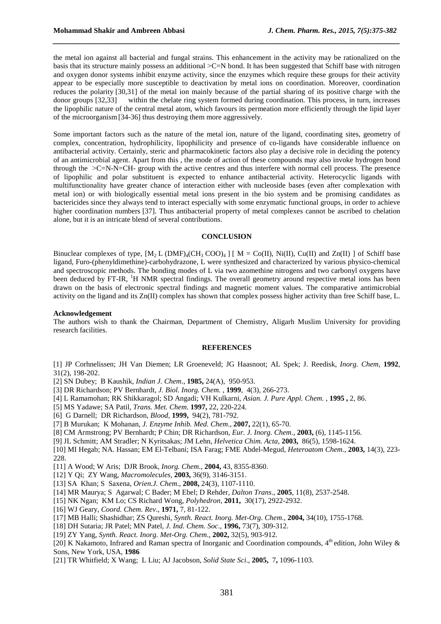the metal ion against all bacterial and fungal strains. This enhancement in the activity may be rationalized on the basis that its structure mainly possess an additional ˃C=N bond. It has been suggested that Schiff base with nitrogen and oxygen donor systems inhibit enzyme activity, since the enzymes which require these groups for their activity appear to be especially more susceptible to deactivation by metal ions on coordination. Moreover, coordination reduces the polarity [30,31] of the metal ion mainly because of the partial sharing of its positive charge with the donor groups [32,33] within the chelate ring system formed during coordination. This process, in turn, increases the lipophilic nature of the central metal atom, which favours its permeation more efficiently through the lipid layer of the microorganism[34-36] thus destroying them more aggressively.

*\_\_\_\_\_\_\_\_\_\_\_\_\_\_\_\_\_\_\_\_\_\_\_\_\_\_\_\_\_\_\_\_\_\_\_\_\_\_\_\_\_\_\_\_\_\_\_\_\_\_\_\_\_\_\_\_\_\_\_\_\_\_\_\_\_\_\_\_\_\_\_\_\_\_\_\_\_\_*

Some important factors such as the nature of the metal ion, nature of the ligand, coordinating sites, geometry of complex, concentration, hydrophilicity, lipophilicity and presence of co-ligands have considerable influence on antibacterial activity. Certainly, steric and pharmacokinetic factors also play a decisive role in deciding the potency of an antimicrobial agent. Apart from this , the mode of action of these compounds may also invoke hydrogen bond through the  $\geq C=N-N=CH$ - group with the active centres and thus interfere with normal cell process. The presence of lipophilic and polar substituent is expected to enhance antibacterial activity. Heterocyclic ligands with multifunctionality have greater chance of interaction either with nucleoside bases (even after complexation with metal ion) or with biologically essential metal ions present in the bio system and be promising candidates as bactericides since they always tend to interact especially with some enzymatic functional groups, in order to achieve higher coordination numbers [37]. Thus antibacterial property of metal complexes cannot be ascribed to chelation alone, but it is an intricate blend of several contributions.

#### **CONCLUSION**

Binuclear complexes of type,  $[M_2 L (DMF)_4(CH_3 COO)_4]$  [ M = Co(II), Ni(II), Cu(II) and Zn(II) ] of Schiff base ligand, Furo-(phenyldimethine)-carbohydrazone, L were synthesized and characterized by various physico-chemical and spectroscopic methods. The bonding modes of L via two azomethine nitrogens and two carbonyl oxygens have been deduced by FT-IR, <sup>1</sup>H NMR spectral findings. The overall geometry around respective metal ions has been drawn on the basis of electronic spectral findings and magnetic moment values. The comparative antimicrobial activity on the ligand and its Zn(II) complex has shown that complex possess higher activity than free Schiff base, L.

#### **Acknowledgement**

The authors wish to thank the Chairman, Department of Chemistry, Aligarh Muslim University for providing research facilities.

#### **REFERENCES**

[1] JP Corhnelissen; JH Van Diemen; LR Groeneveld; JG Haasnoot; AL Spek; J. Reedisk, *Inorg. Chem,* **1992***,*  31(2), 198-202.

[2] SN Dubey; B Kaushik, *Indian J. Chem*., **1985,** 24(A), 950-953.

- [3] DR Richardson; PV Bernhardt, *J. Biol. Inorg. Chem.* , **1999**, 4(3), 266-273.
- [4] L Ramamohan; RK Shikkaragol; SD Angadi; VH Kulkarni, *Asian. J. Pure Appl. Chem.* , **1995 ,** 2, 86.
- [5] MS Yadawe; SA Patil, *Trans. Met. Chem*. **1997,** 22, 220-224.
- [6] G Darnell; DR Richardson, *Blood*, **1999,** 94(2), 781-792.
- [7] B Murukan; K Mohanan, *J. Enzyme Inhib. Med. Chem*., **2007,** 22(1), 65-70.
- [8] CM Armstrong; PV Bernhardt; P Chin; DR Richardson, *Eur. J. Inorg. Chem*., **2003,** (6), 1145-1156.
- [9] JL Schmitt; AM Stradler; N Kyritsakas; JM Lehn, *Helvetica Chim. Acta*, **2003,** 86(5), 1598-1624.

[10] MI Hegab; NA. Hassan; EM El-Telbani; ISA Farag; FME Abdel-Megud, *Heteroatom Chem.*, **2003,** 14(3), 223- 228.

- [11] A Wood; W Aris; DJR Brook, *Inorg. Chem*., **2004,** 43, 8355-8360.
- [12] Y Qi; ZY Wang, *Macromolecules*, **2003,** 36(9), 3146-3151.
- [13] SA Khan; S Saxena, *Orien.J. Chem*., **2008,** 24(3), 1107-1110.
- [14] MR Maurya; S Agarwal; C Bader; M Ebel; D Rehder, *Dalton Trans*., **2005**, 11(8), 2537-2548.
- [15] NK Ngan; KM Lo; CS Richard Wong, *Polyhedron*, **2011,** 30(17), 2922-2932.
- [16] WJ Geary, *Coord. Chem. Rev*., **1971,** 7, 81-122.
- [17] MB Halli; Shashidhar; ZS Qureshi, *Synth. React. Inorg. Met-Org. Chem*., **2004,** 34(10), 1755-1768.
- [18] DH Sutaria; JR Patel; MN Patel, *J. Ind. Chem. Soc*., **1996,** 73(7), 309-312.
- [19] ZY Yang, *Synth. React. Inorg. Met-Org. Chem*., **2002,** 32(5), 903-912.

[20] K Nakamoto, Infrared and Raman spectra of Inorganic and Coordination compounds, 4<sup>th</sup> edition, John Wiley & Sons, New York, USA, **1986**

[21] TR Whitfield; X Wang; L Liu; AJ Jacobson, *Solid State Sci*., **2005,** 7**,** 1096-1103.